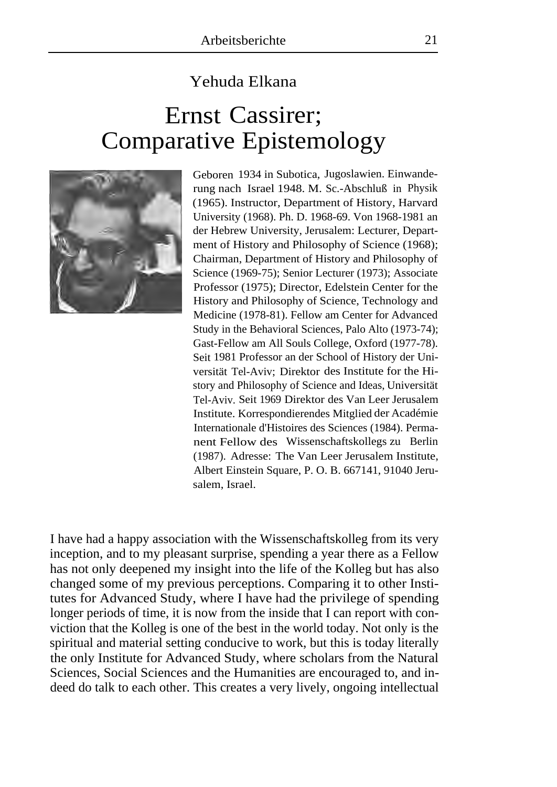## Yehuda Elkana

## Ernst Cassirer; Comparative Epistemology



Geboren 1934 in Subotica, Jugoslawien. Einwanderung nach Israel 1948. M. Sc.-Abschluß in Physik (1965). Instructor, Department of History, Harvard University (1968). Ph. D. 1968-69. Von 1968-1981 an der Hebrew University, Jerusalem: Lecturer, Department of History and Philosophy of Science (1968); Chairman, Department of History and Philosophy of Science (1969-75); Senior Lecturer (1973); Associate Professor (1975); Director, Edelstein Center for the History and Philosophy of Science, Technology and Medicine (1978-81). Fellow am Center for Advanced Study in the Behavioral Sciences, Palo Alto (1973-74); Gast-Fellow am All Souls College, Oxford (1977-78). Seit 1981 Professor an der School of History der Universität Tel-Aviv; Direktor des Institute for the History and Philosophy of Science and Ideas, Universität Tel-Aviv. Seit 1969 Direktor des Van Leer Jerusalem Institute. Korrespondierendes Mitglied der Académie Internationale d'Histoires des Sciences (1984). Permanent Fellow des Wissenschaftskollegs zu Berlin (1987). Adresse: The Van Leer Jerusalem Institute, Albert Einstein Square, P. O. B. 667141, 91040 Jerusalem, Israel.

I have had a happy association with the Wissenschaftskolleg from its very inception, and to my pleasant surprise, spending a year there as a Fellow has not only deepened my insight into the life of the Kolleg but has also changed some of my previous perceptions. Comparing it to other Institutes for Advanced Study, where I have had the privilege of spending longer periods of time, it is now from the inside that I can report with conviction that the Kolleg is one of the best in the world today. Not only is the spiritual and material setting conducive to work, but this is today literally the only Institute for Advanced Study, where scholars from the Natural Sciences, Social Sciences and the Humanities are encouraged to, and indeed do talk to each other. This creates a very lively, ongoing intellectual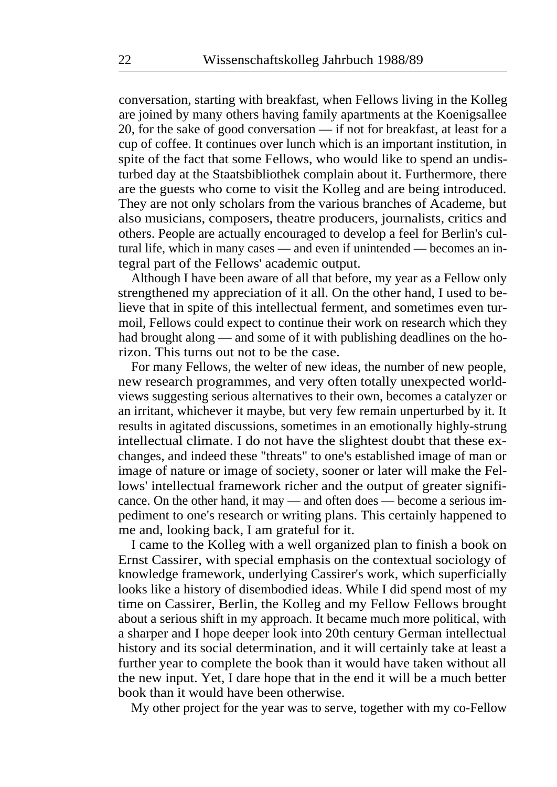conversation, starting with breakfast, when Fellows living in the Kolleg are joined by many others having family apartments at the Koenigsallee 20, for the sake of good conversation — if not for breakfast, at least for a cup of coffee. It continues over lunch which is an important institution, in spite of the fact that some Fellows, who would like to spend an undisturbed day at the Staatsbibliothek complain about it. Furthermore, there are the guests who come to visit the Kolleg and are being introduced. They are not only scholars from the various branches of Academe, but also musicians, composers, theatre producers, journalists, critics and others. People are actually encouraged to develop a feel for Berlin's cultural life, which in many cases — and even if unintended — becomes an integral part of the Fellows' academic output.

Although I have been aware of all that before, my year as a Fellow only strengthened my appreciation of it all. On the other hand, I used to believe that in spite of this intellectual ferment, and sometimes even turmoil, Fellows could expect to continue their work on research which they had brought along — and some of it with publishing deadlines on the horizon. This turns out not to be the case.

For many Fellows, the welter of new ideas, the number of new people, new research programmes, and very often totally unexpected worldviews suggesting serious alternatives to their own, becomes a catalyzer or an irritant, whichever it maybe, but very few remain unperturbed by it. It results in agitated discussions, sometimes in an emotionally highly-strung intellectual climate. I do not have the slightest doubt that these exchanges, and indeed these "threats" to one's established image of man or image of nature or image of society, sooner or later will make the Fellows' intellectual framework richer and the output of greater significance. On the other hand, it may — and often does — become a serious impediment to one's research or writing plans. This certainly happened to me and, looking back, I am grateful for it.

I came to the Kolleg with a well organized plan to finish a book on Ernst Cassirer, with special emphasis on the contextual sociology of knowledge framework, underlying Cassirer's work, which superficially looks like a history of disembodied ideas. While I did spend most of my time on Cassirer, Berlin, the Kolleg and my Fellow Fellows brought about a serious shift in my approach. It became much more political, with a sharper and I hope deeper look into 20th century German intellectual history and its social determination, and it will certainly take at least a further year to complete the book than it would have taken without all the new input. Yet, I dare hope that in the end it will be a much better book than it would have been otherwise.

My other project for the year was to serve, together with my co-Fellow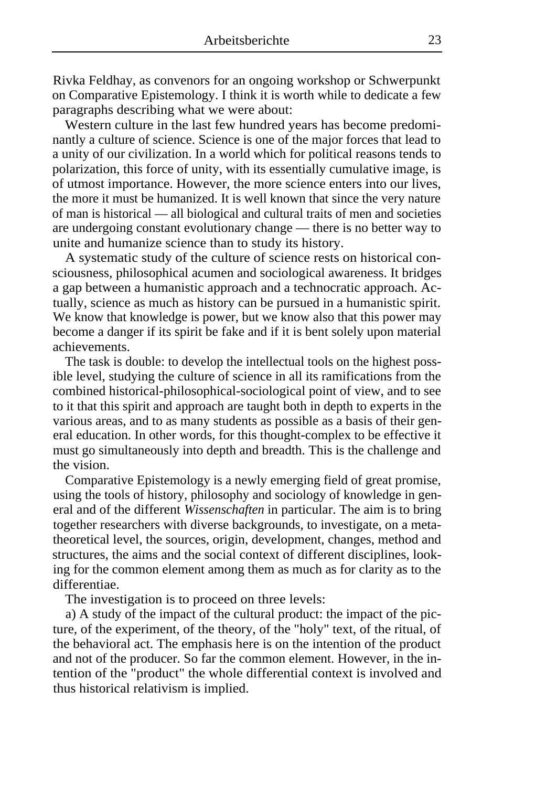Rivka Feldhay, as convenors for an ongoing workshop or Schwerpunkt on Comparative Epistemology. I think it is worth while to dedicate a few paragraphs describing what we were about:

Western culture in the last few hundred years has become predominantly a culture of science. Science is one of the major forces that lead to a unity of our civilization. In a world which for political reasons tends to polarization, this force of unity, with its essentially cumulative image, is of utmost importance. However, the more science enters into our lives, the more it must be humanized. It is well known that since the very nature of man is historical — all biological and cultural traits of men and societies are undergoing constant evolutionary change — there is no better way to unite and humanize science than to study its history.

A systematic study of the culture of science rests on historical consciousness, philosophical acumen and sociological awareness. It bridges a gap between a humanistic approach and a technocratic approach. Actually, science as much as history can be pursued in a humanistic spirit. We know that knowledge is power, but we know also that this power may become a danger if its spirit be fake and if it is bent solely upon material achievements.

The task is double: to develop the intellectual tools on the highest possible level, studying the culture of science in all its ramifications from the combined historical-philosophical-sociological point of view, and to see to it that this spirit and approach are taught both in depth to experts in the various areas, and to as many students as possible as a basis of their general education. In other words, for this thought-complex to be effective it must go simultaneously into depth and breadth. This is the challenge and the vision.

Comparative Epistemology is a newly emerging field of great promise, using the tools of history, philosophy and sociology of knowledge in general and of the different *Wissenschaften* in particular. The aim is to bring together researchers with diverse backgrounds, to investigate, on a metatheoretical level, the sources, origin, development, changes, method and structures, the aims and the social context of different disciplines, looking for the common element among them as much as for clarity as to the differentiae.

The investigation is to proceed on three levels:

a) A study of the impact of the cultural product: the impact of the picture, of the experiment, of the theory, of the "holy" text, of the ritual, of the behavioral act. The emphasis here is on the intention of the product and not of the producer. So far the common element. However, in the intention of the "product" the whole differential context is involved and thus historical relativism is implied.